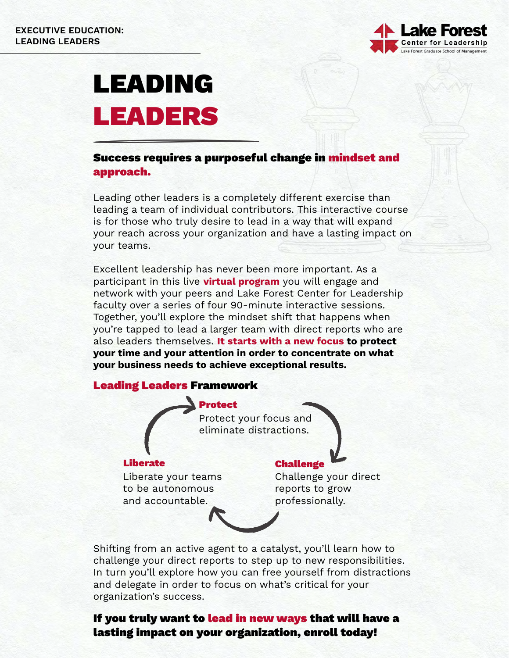

# LEADING LEADERS

### Success requires a purposeful change in mindset and approach.

Leading other leaders is a completely different exercise than leading a team of individual contributors. This interactive course is for those who truly desire to lead in a way that will expand your reach across your organization and have a lasting impact on your teams.

Excellent leadership has never been more important. As a participant in this live **virtual program** you will engage and network with your peers and Lake Forest Center for Leadership faculty over a series of four 90-minute interactive sessions. Together, you'll explore the mindset shift that happens when you're tapped to lead a larger team with direct reports who are also leaders themselves. It starts with a new focus to protect your time and your attention in order to concentrate on what your business needs to achieve exceptional results.

#### Leading Leaders Framework

Protect Protect your focus and eliminate distractions.

Liberate your teams to be autonomous and accountable.

# Liberate Challenge

Challenge your direct reports to grow professionally.

Shifting from an active agent to a catalyst, you'll learn how to challenge your direct reports to step up to new responsibilities. In turn you'll explore how you can free yourself from distractions and delegate in order to focus on what's critical for your organization's success.

# If you truly want to lead in new ways that will have a lasting impact on your organization, enroll today!